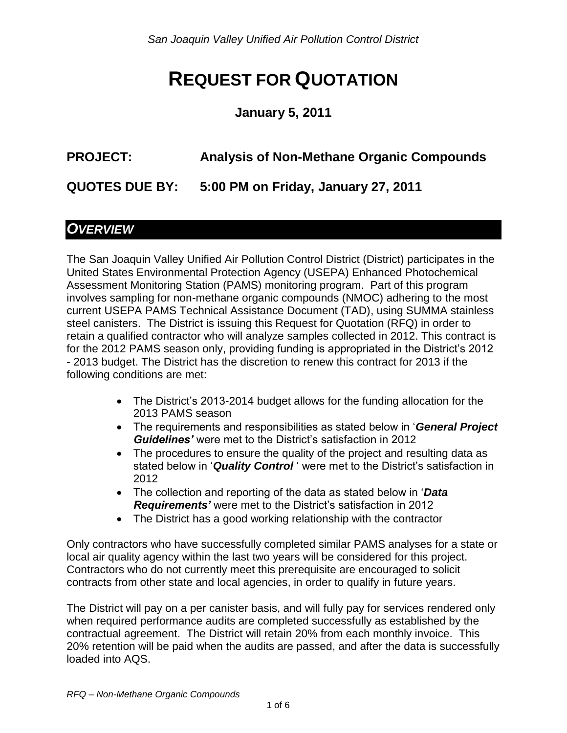# **REQUEST FOR QUOTATION**

#### **January 5, 2011**

# **PROJECT: Analysis of Non-Methane Organic Compounds**

**QUOTES DUE BY: 5:00 PM on Friday, January 27, 2011**

#### *OVERVIEW*

The San Joaquin Valley Unified Air Pollution Control District (District) participates in the United States Environmental Protection Agency (USEPA) Enhanced Photochemical Assessment Monitoring Station (PAMS) monitoring program. Part of this program involves sampling for non-methane organic compounds (NMOC) adhering to the most current USEPA PAMS Technical Assistance Document (TAD), using SUMMA stainless steel canisters. The District is issuing this Request for Quotation (RFQ) in order to retain a qualified contractor who will analyze samples collected in 2012. This contract is for the 2012 PAMS season only, providing funding is appropriated in the District's 2012 - 2013 budget. The District has the discretion to renew this contract for 2013 if the following conditions are met:

- The District's 2013-2014 budget allows for the funding allocation for the 2013 PAMS season
- The requirements and responsibilities as stated below in '*General Project Guidelines'* were met to the District's satisfaction in 2012
- The procedures to ensure the quality of the project and resulting data as stated below in '*Quality Control* ' were met to the District's satisfaction in 2012
- The collection and reporting of the data as stated below in '*Data Requirements'* were met to the District's satisfaction in 2012
- The District has a good working relationship with the contractor

Only contractors who have successfully completed similar PAMS analyses for a state or local air quality agency within the last two years will be considered for this project. Contractors who do not currently meet this prerequisite are encouraged to solicit contracts from other state and local agencies, in order to qualify in future years.

The District will pay on a per canister basis, and will fully pay for services rendered only when required performance audits are completed successfully as established by the contractual agreement. The District will retain 20% from each monthly invoice. This 20% retention will be paid when the audits are passed, and after the data is successfully loaded into AQS.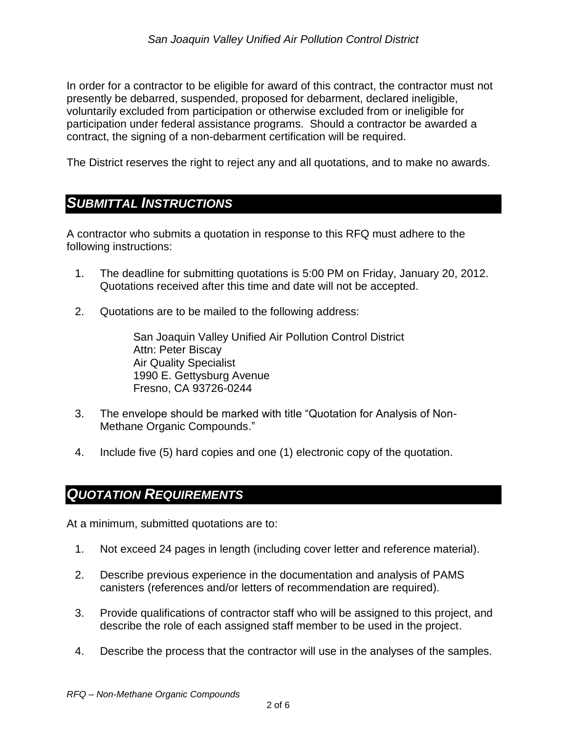In order for a contractor to be eligible for award of this contract, the contractor must not presently be debarred, suspended, proposed for debarment, declared ineligible, voluntarily excluded from participation or otherwise excluded from or ineligible for participation under federal assistance programs. Should a contractor be awarded a contract, the signing of a non-debarment certification will be required.

The District reserves the right to reject any and all quotations, and to make no awards.

#### *SUBMITTAL INSTRUCTIONS*

A contractor who submits a quotation in response to this RFQ must adhere to the following instructions:

- 1. The deadline for submitting quotations is 5:00 PM on Friday, January 20, 2012. Quotations received after this time and date will not be accepted.
- 2. Quotations are to be mailed to the following address:

San Joaquin Valley Unified Air Pollution Control District Attn: Peter Biscay Air Quality Specialist 1990 E. Gettysburg Avenue Fresno, CA 93726-0244

- 3. The envelope should be marked with title "Quotation for Analysis of Non-Methane Organic Compounds."
- 4. Include five (5) hard copies and one (1) electronic copy of the quotation.

#### *QUOTATION REQUIREMENTS*

At a minimum, submitted quotations are to:

- 1. Not exceed 24 pages in length (including cover letter and reference material).
- 2. Describe previous experience in the documentation and analysis of PAMS canisters (references and/or letters of recommendation are required).
- 3. Provide qualifications of contractor staff who will be assigned to this project, and describe the role of each assigned staff member to be used in the project.
- 4. Describe the process that the contractor will use in the analyses of the samples.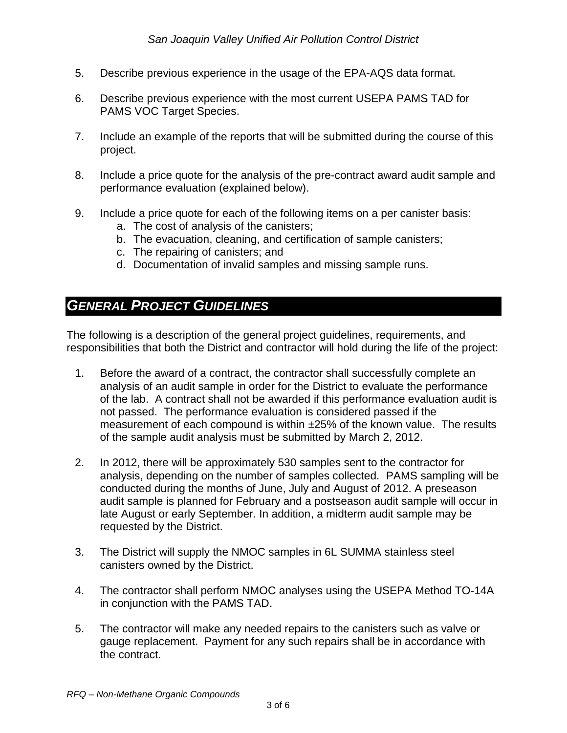- 5. Describe previous experience in the usage of the EPA-AQS data format.
- 6. Describe previous experience with the most current USEPA PAMS TAD for PAMS VOC Target Species.
- 7. Include an example of the reports that will be submitted during the course of this project.
- 8. Include a price quote for the analysis of the pre-contract award audit sample and performance evaluation (explained below).
- 9. Include a price quote for each of the following items on a per canister basis:
	- a. The cost of analysis of the canisters;
	- b. The evacuation, cleaning, and certification of sample canisters;
	- c. The repairing of canisters; and
	- d. Documentation of invalid samples and missing sample runs.

#### *GENERAL PROJECT GUIDELINES*

The following is a description of the general project guidelines, requirements, and responsibilities that both the District and contractor will hold during the life of the project:

- 1. Before the award of a contract, the contractor shall successfully complete an analysis of an audit sample in order for the District to evaluate the performance of the lab. A contract shall not be awarded if this performance evaluation audit is not passed. The performance evaluation is considered passed if the measurement of each compound is within ±25% of the known value. The results of the sample audit analysis must be submitted by March 2, 2012.
- 2. In 2012, there will be approximately 530 samples sent to the contractor for analysis, depending on the number of samples collected. PAMS sampling will be conducted during the months of June, July and August of 2012. A preseason audit sample is planned for February and a postseason audit sample will occur in late August or early September. In addition, a midterm audit sample may be requested by the District.
- 3. The District will supply the NMOC samples in 6L SUMMA stainless steel canisters owned by the District.
- 4. The contractor shall perform NMOC analyses using the USEPA Method TO-14A in conjunction with the PAMS TAD.
- 5. The contractor will make any needed repairs to the canisters such as valve or gauge replacement. Payment for any such repairs shall be in accordance with the contract.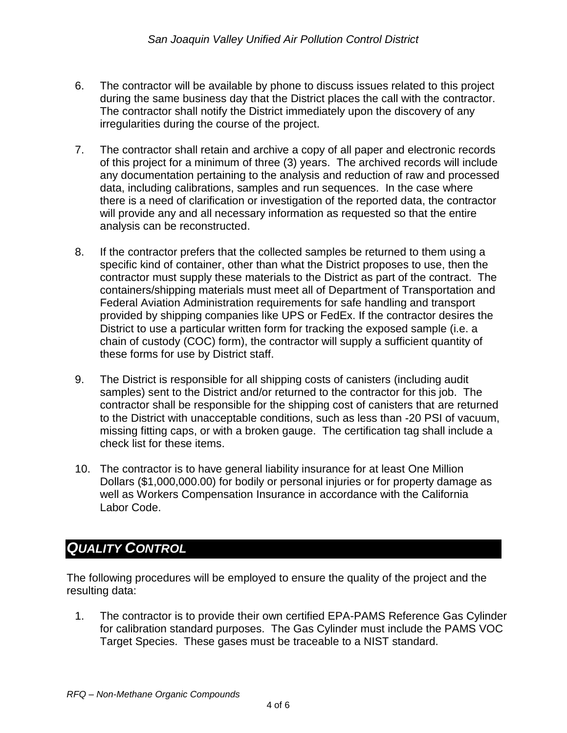- 6. The contractor will be available by phone to discuss issues related to this project during the same business day that the District places the call with the contractor. The contractor shall notify the District immediately upon the discovery of any irregularities during the course of the project.
- 7. The contractor shall retain and archive a copy of all paper and electronic records of this project for a minimum of three (3) years. The archived records will include any documentation pertaining to the analysis and reduction of raw and processed data, including calibrations, samples and run sequences. In the case where there is a need of clarification or investigation of the reported data, the contractor will provide any and all necessary information as requested so that the entire analysis can be reconstructed.
- 8. If the contractor prefers that the collected samples be returned to them using a specific kind of container, other than what the District proposes to use, then the contractor must supply these materials to the District as part of the contract. The containers/shipping materials must meet all of Department of Transportation and Federal Aviation Administration requirements for safe handling and transport provided by shipping companies like UPS or FedEx. If the contractor desires the District to use a particular written form for tracking the exposed sample (i.e. a chain of custody (COC) form), the contractor will supply a sufficient quantity of these forms for use by District staff.
- 9. The District is responsible for all shipping costs of canisters (including audit samples) sent to the District and/or returned to the contractor for this job. The contractor shall be responsible for the shipping cost of canisters that are returned to the District with unacceptable conditions, such as less than -20 PSI of vacuum, missing fitting caps, or with a broken gauge. The certification tag shall include a check list for these items.
- 10. The contractor is to have general liability insurance for at least One Million Dollars (\$1,000,000.00) for bodily or personal injuries or for property damage as well as Workers Compensation Insurance in accordance with the California Labor Code.

### *QUALITY CONTROL*

The following procedures will be employed to ensure the quality of the project and the resulting data:

1. The contractor is to provide their own certified EPA-PAMS Reference Gas Cylinder for calibration standard purposes. The Gas Cylinder must include the PAMS VOC Target Species. These gases must be traceable to a NIST standard.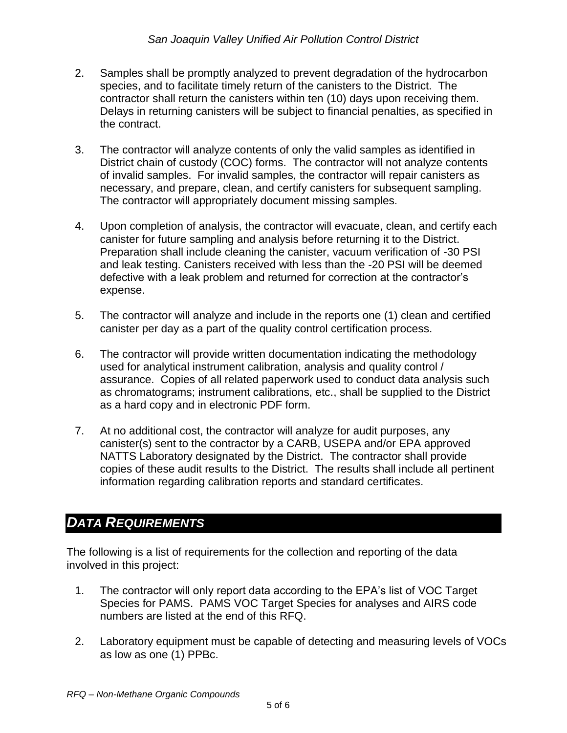- 2. Samples shall be promptly analyzed to prevent degradation of the hydrocarbon species, and to facilitate timely return of the canisters to the District. The contractor shall return the canisters within ten (10) days upon receiving them. Delays in returning canisters will be subject to financial penalties, as specified in the contract.
- 3. The contractor will analyze contents of only the valid samples as identified in District chain of custody (COC) forms. The contractor will not analyze contents of invalid samples. For invalid samples, the contractor will repair canisters as necessary, and prepare, clean, and certify canisters for subsequent sampling. The contractor will appropriately document missing samples.
- 4. Upon completion of analysis, the contractor will evacuate, clean, and certify each canister for future sampling and analysis before returning it to the District. Preparation shall include cleaning the canister, vacuum verification of -30 PSI and leak testing. Canisters received with less than the -20 PSI will be deemed defective with a leak problem and returned for correction at the contractor's expense.
- 5. The contractor will analyze and include in the reports one (1) clean and certified canister per day as a part of the quality control certification process.
- 6. The contractor will provide written documentation indicating the methodology used for analytical instrument calibration, analysis and quality control / assurance. Copies of all related paperwork used to conduct data analysis such as chromatograms; instrument calibrations, etc., shall be supplied to the District as a hard copy and in electronic PDF form.
- 7. At no additional cost, the contractor will analyze for audit purposes, any canister(s) sent to the contractor by a CARB, USEPA and/or EPA approved NATTS Laboratory designated by the District. The contractor shall provide copies of these audit results to the District. The results shall include all pertinent information regarding calibration reports and standard certificates.

## *DATA REQUIREMENTS*

The following is a list of requirements for the collection and reporting of the data involved in this project:

- 1. The contractor will only report data according to the EPA's list of VOC Target Species for PAMS. PAMS VOC Target Species for analyses and AIRS code numbers are listed at the end of this RFQ.
- 2. Laboratory equipment must be capable of detecting and measuring levels of VOCs as low as one (1) PPBc.